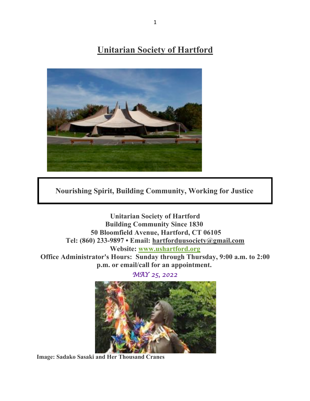# **Unitarian Society of Hartford**



**Nourishing Spirit, Building Community, Working for Justice**

**Unitarian Society of Hartford Building Community Since 1830 50 Bloomfield Avenue, Hartford, CT 06105 Tel: (860) 233-9897 • Email: hartforduusociety@gmail.com Website: www.ushartford.org Office Administrator's Hours: Sunday through Thursday, 9:00 a.m. to 2:00 p.m. or email/call for an appointment.**

*MAY 25, 2022* 



**Image: Sadako Sasaki and Her Thousand Cranes**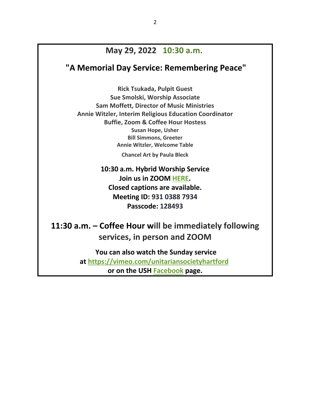### **May 29, 2022 10:30 a.m.**

### **"A Memorial Day Service: Remembering Peace"**

**Rick Tsukada, Pulpit Guest Sue Smolski, Worship Associate Sam Moffett, Director of Music Ministries Annie Witzler, Interim Religious Education Coordinator Buffie, Zoom & Coffee Hour Hostess Susan Hope, Usher Bill Simmons, Greeter Annie Witzler, Welcome Table**

**Chancel Art by Paula Bleck**

**10:30 a.m. Hybrid Worship Service Join us in ZOOM HERE. Closed captions are available. Meeting ID: 931 0388 7934 Passcode: 128493**

**11:30 a.m. – Coffee Hour will be immediately following services, in person and ZOOM**

> **You can also watch the Sunday service at https://vimeo.com/unitariansocietyhartford or on the USH Facebook page.**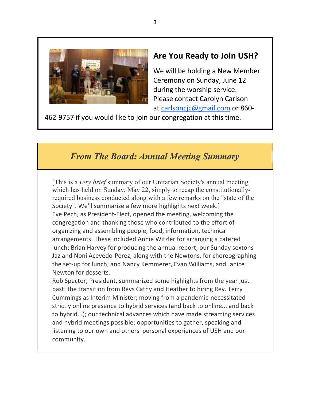

### **Are You Ready to Join USH?**

We will be holding a New Member Ceremony on Sunday, June 12 during the worship service. Please contact Carolyn Carlson at carlsoncjc@gmail.com or 860-

462-9757 if you would like to join our congregation at this time.

## *From The Board: Annual Meeting Summary*

[This is a *very brief* summary of our Unitarian Society's annual meeting which has held on Sunday, May 22, simply to recap the constitutionallyrequired business conducted along with a few remarks on the "state of the Society". We'll summarize a few more highlights next week.] Eve Pech, as President-Elect, opened the meeting, welcoming the congregation and thanking those who contributed to the effort of organizing and assembling people, food, information, technical arrangements. These included Annie Witzler for arranging a catered lunch; Brian Harvey for producing the annual report; our Sunday sextons Jaz and Noni Acevedo-Perez, along with the Newtons, for choreographing the set-up for lunch; and Nancy Kemmerer, Evan Williams, and Janice Newton for desserts.

Rob Spector, President, summarized some highlights from the year just past: the transition from Revs Cathy and Heather to hiring Rev. Terry Cummings as Interim Minister; moving from a pandemic-necessitated strictly online presence to hybrid services (and back to online... and back to hybrid...); our technical advances which have made streaming services and hybrid meetings possible; opportunities to gather, speaking and listening to our own and others' personal experiences of USH and our community.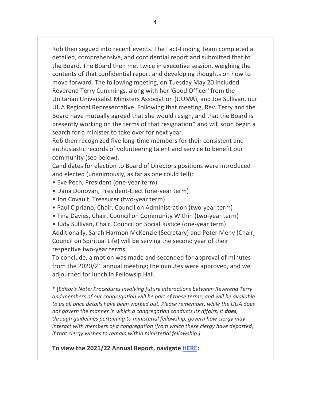Rob then segued into recent events. The Fact-Finding Team completed a detailed, comprehensive, and confidential report and submitted that to the Board. The Board then met twice in executive session, weighing the contents of that confidential report and developing thoughts on how to move forward. The following meeting, on Tuesday May 20 included Reverend Terry Cummings, along with her 'Good Officer' from the Unitarian Universalist Ministers Association (UUMA), and Joe Sullivan, our UUA Regional Representative. Following that meeting, Rev. Terry and the Board have mutually agreed that she would resign, and that the Board is presently working on the terms of that resignation\* and will soon begin a search for a minister to take over for next year.

Rob then recognized five long-time members for their consistent and enthusiastic records of volunteering talent and service to benefit our community (see below).

Candidates for election to Board of Directors positions were introduced and elected (unanimously, as far as one could tell):

- Eve Pech, President (one-year term)
- Dana Donovan, President-Elect (one-year term)
- Jon Covault, Treasurer (two-year term)
- Paul Cipriano, Chair, Council on Administration (two-year term)
- Tina Davies, Chair, Council on Community Within (two-year term)
- Judy Sullivan, Chair, Council on Social Justice (one-year term)

Additionally, Sarah Harmon McKenzie (Secretary) and Peter Meny (Chair, Council on Spiritual Life) will be serving the second year of their respective two-year terms.

To conclude, a motion was made and seconded for approval of minutes from the 2020/21 annual meeting; the minutes were approved, and we adjourned for lunch in Fellowsip Hall.

\* [*Editor's Note: Procedures involving future interactions between Reverend Terry and members of our congregation will be part of these terms, and will be available to us all once details have been worked out. Please remember, while the UUA does not govern the manner in which a congregation conducts its affairs, it does, through guidelines pertaining to ministerial fellowship, govern how clergy may interact with members of a congregation (from which these clergy have departed) if that clergy wishes to remain within ministerial fellowship.]*

#### **To view the 2021/22 Annual Report, navigate HERE:**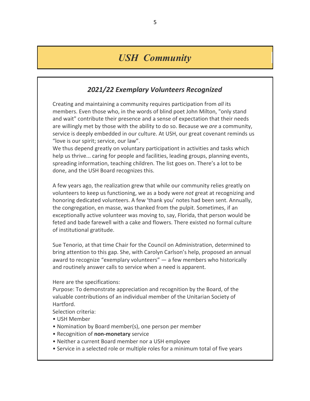## *USH Community*

### *2021/22 Exemplary Volunteers Recognized*

Creating and maintaining a community requires participation from *all* its members. Even those who, in the words of blind poet John Milton, "only stand and wait" contribute their presence and a sense of expectation that their needs are willingly met by those with the ability to do so. Because we *are* a community, service is deeply embedded in our culture. At USH, our great covenant reminds us "love is our spirit; service, our law".

We thus depend greatly on voluntary participationt in activities and tasks which help us thrive... caring for people and facilities, leading groups, planning events, spreading information, teaching children. The list goes on. There's a lot to be done, and the USH Board recognizes this.

A few years ago, the realization grew that while our community relies greatly on volunteers to keep us functioning, we as a body were *not* great at recognizing and honoring dedicated volunteers. A few 'thank you' notes had been sent. Annually, the congregation, en masse, was thanked from the pulpit. Sometimes, if an exceptionally active volunteer was moving to, say, Florida, that person would be feted and bade farewell with a cake and flowers. There existed no formal culture of institutional gratitude.

Sue Tenorio, at that time Chair for the Council on Administration, determined to bring attention to this gap. She, with Carolyn Carlson's help, proposed an annual award to recognize "exemplary volunteers" — a few members who historically and routinely answer calls to service when a need is apparent.

Here are the specifications:

Purpose: To demonstrate appreciation and recognition by the Board, of the valuable contributions of an individual member of the Unitarian Society of Hartford.

Selection criteria:

- USH Member
- Nomination by Board member(s), one person per member
- Recognition of **non-monetary** service
- Neither a current Board member nor a USH employee
- Service in a selected role or multiple roles for a minimum total of five years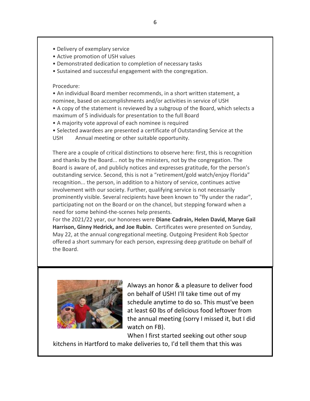- Delivery of exemplary service
- Active promotion of USH values
- Demonstrated dedication to completion of necessary tasks
- Sustained and successful engagement with the congregation.

#### Procedure:

• An individual Board member recommends, in a short written statement, a nominee, based on accomplishments and/or activities in service of USH

• A copy of the statement is reviewed by a subgroup of the Board, which selects a maximum of 5 individuals for presentation to the full Board

6

- A majority vote approval of each nominee is required
- Selected awardees are presented a certificate of Outstanding Service at the
- USH Annual meeting or other suitable opportunity.

There are a couple of critical distinctions to observe here: first, this is recognition and thanks by the Board... not by the ministers, not by the congregation. The Board is aware of, and publicly notices and expresses gratitude, for the person's outstanding service. Second, this is not a "retirement/gold watch/enjoy Florida" recognition... the person, in addition to a history of service, continues active involvement with our society. Further, qualifying service is not necessarily prominently visible. Several recipients have been known to "fly under the radar", participating not on the Board or on the chancel, but stepping forward when a need for some behind-the-scenes help presents.

For the 2021/22 year, our honorees were **Diane Cadrain, Helen David, Marye Gail Harrison, Ginny Hedrick, and Joe Rubin.** Certificates were presented on Sunday, May 22, at the annual congregational meeting. Outgoing President Rob Spector offered a short summary for each person, expressing deep gratitude on behalf of the Board.



Always an honor & a pleasure to deliver food on behalf of USH! I'll take time out of my schedule anytime to do so. This must've been at least 60 lbs of delicious food leftover from the annual meeting (sorry I missed it, but I did watch on FB).

When I first started seeking out other soup kitchens in Hartford to make deliveries to, I'd tell them that this was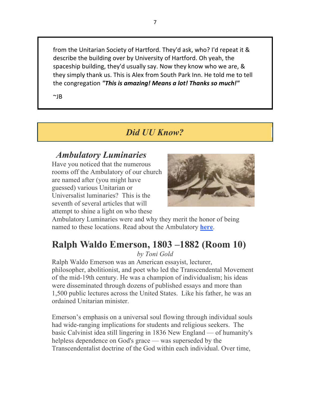from the Unitarian Society of Hartford. They'd ask, who? I'd repeat it & describe the building over by University of Hartford. Oh yeah, the spaceship building, they'd usually say. Now they know who we are, & they simply thank us. This is Alex from South Park Inn. He told me to tell the congregation *"This is amazing! Means a lot! Thanks so much!"*

 $~\sim$ IB

## *Did UU Know?*

## *Ambulatory Luminaries*

Have you noticed that the numerous rooms off the Ambulatory of our church are named after (you might have guessed) various Unitarian or Universalist luminaries? This is the seventh of several articles that will attempt to shine a light on who these



Ambulatory Luminaries were and why they merit the honor of being named to these locations. Read about the Ambulatory **here**.

# **Ralph Waldo Emerson, 1803 –1882 (Room 10)**

*by Toni Gold*

Ralph Waldo Emerson was an American essayist, lecturer, philosopher, abolitionist, and poet who led the Transcendental Movement of the mid-19th century. He was a champion of individualism; his ideas were disseminated through dozens of published essays and more than 1,500 public lectures across the United States. Like his father, he was an ordained Unitarian minister.

Emerson's emphasis on a universal soul flowing through individual souls had wide-ranging implications for students and religious seekers. The basic Calvinist idea still lingering in 1836 New England — of humanity's helpless dependence on God's grace — was superseded by the Transcendentalist doctrine of the God within each individual. Over time,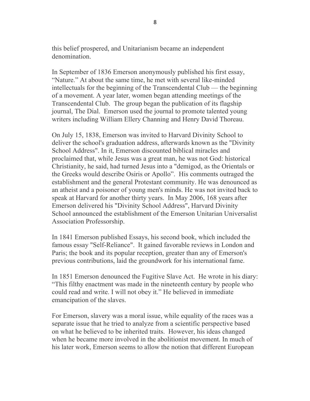this belief prospered, and Unitarianism became an independent denomination.

In September of 1836 Emerson anonymously published his first essay, "Nature." At about the same time, he met with several like-minded intellectuals for the beginning of the Transcendental Club — the beginning of a movement. A year later, women began attending meetings of the Transcendental Club. The group began the publication of its flagship journal, The Dial. Emerson used the journal to promote talented young writers including William Ellery Channing and Henry David Thoreau.

On July 15, 1838, Emerson was invited to Harvard Divinity School to deliver the school's graduation address, afterwards known as the "Divinity School Address". In it, Emerson discounted biblical miracles and proclaimed that, while Jesus was a great man, he was not God: historical Christianity, he said, had turned Jesus into a "demigod, as the Orientals or the Greeks would describe Osiris or Apollo". His comments outraged the establishment and the general Protestant community. He was denounced as an atheist and a poisoner of young men's minds. He was not invited back to speak at Harvard for another thirty years. In May 2006, 168 years after Emerson delivered his "Divinity School Address", Harvard Divinity School announced the establishment of the Emerson Unitarian Universalist Association Professorship.

In 1841 Emerson published Essays, his second book, which included the famous essay "Self-Reliance". It gained favorable reviews in London and Paris; the book and its popular reception, greater than any of Emerson's previous contributions, laid the groundwork for his international fame.

In 1851 Emerson denounced the Fugitive Slave Act. He wrote in his diary: "This filthy enactment was made in the nineteenth century by people who could read and write. I will not obey it." He believed in immediate emancipation of the slaves.

For Emerson, slavery was a moral issue, while equality of the races was a separate issue that he tried to analyze from a scientific perspective based on what he believed to be inherited traits. However, his ideas changed when he became more involved in the abolitionist movement. In much of his later work, Emerson seems to allow the notion that different European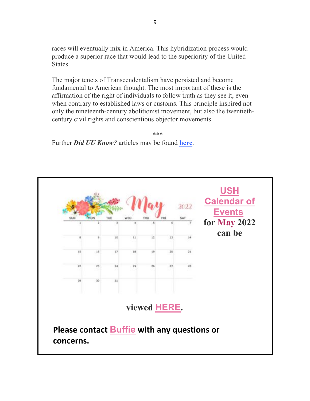races will eventually mix in America. This hybridization process would produce a superior race that would lead to the superiority of the United States.

The major tenets of Transcendentalism have persisted and become fundamental to American thought. The most important of these is the affirmation of the right of individuals to follow truth as they see it, even when contrary to established laws or customs. This principle inspired not only the nineteenth-century abolitionist movement, but also the twentiethcentury civil rights and conscientious objector movements.

\*\*\* Further *Did UU Know?* articles may be found **here**.

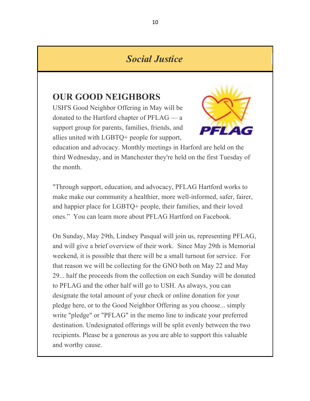## *Social Justice*

### **OUR GOOD NEIGHBORS**

USH'S Good Neighbor Offering in May will be donated to the Hartford chapter of PFLAG — a support group for parents, families, friends, and allies united with LGBTQ+ people for support,



education and advocacy. Monthly meetings in Harford are held on the third Wednesday, and in Manchester they're held on the first Tuesday of the month.

"Through support, education, and advocacy, PFLAG Hartford works to make make our community a healthier, more well-informed, safer, fairer, and happier place for LGBTQ+ people, their families, and their loved ones." You can learn more about PFLAG Hartford on Facebook.

On Sunday, May 29th, Lindsey Pasqual will join us, representing PFLAG, and will give a brief overview of their work. Since May 29th is Memorial weekend, it is possible that there will be a small turnout for service. For that reason we will be collecting for the GNO both on May 22 and May 29... half the proceeds from the collection on each Sunday will be donated to PFLAG and the other half will go to USH. As always, you can designate the total amount of your check or online donation for your pledge here, or to the Good Neighbor Offering as you choose... simply write "pledge" or "PFLAG" in the memo line to indicate your preferred destination. Undesignated offerings will be split evenly between the two recipients. Please be a generous as you are able to support this valuable and worthy cause.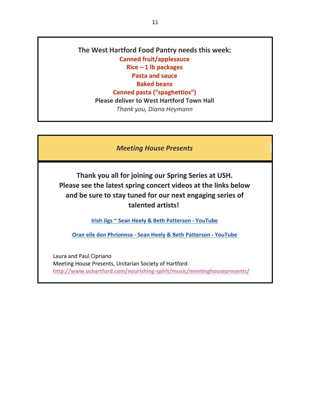**The West Hartford Food Pantry needs this week: Canned fruit/applesauce Rice – 1 lb packages Pasta and sauce Baked beans Canned pasta ("spaghettios") Please deliver to West Hartford Town Hall** *Thank you, Diana Heymann*

*Meeting House Presents*

**Thank you all for joining our Spring Series at USH. Please see the latest spring concert videos at the links below and be sure to stay tuned for our next engaging series of talented artists!**

**Irish Jigs ~ Sean Heely & Beth Patterson - YouTube**

**Oran eile don Phrionnsa - Sean Heely & Beth Patterson - YouTube**

Laura and Paul Cipriano Meeting House Presents, Unitarian Society of Hartford **http://www.ushartford.com/nourishing-spirit/music/meetinghousepresents/**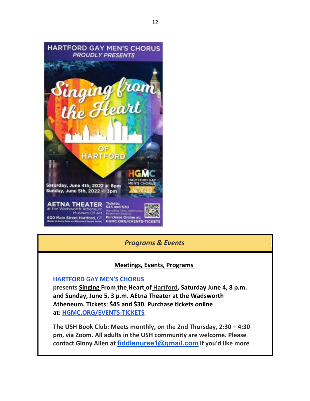

#### *Programs & Events*

#### **Meetings, Events, Programs**

#### **HARTFORD GAY MEN'S CHORUS**

**presents Singing From the Heart of Hartford, Saturday June 4, 8 p.m. and Sunday, June 5, 3 p.m. AEtna Theater at the Wadsworth Atheneum. Tickets: \$45 and \$30. Purchase tickets online at: HGMC.ORG/EVENTS-TICKETS**

**The USH Book Club: Meets monthly, on the 2nd Thursday, 2:30 – 4:30 pm, via Zoom. All adults in the USH community are welcome. Please contact Ginny Allen at fiddlenurse1@gmail.com if you'd like more**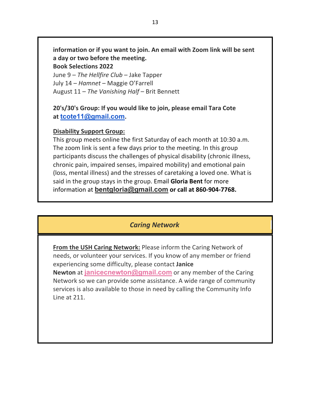**information or if you want to join. An email with Zoom link will be sent a day or two before the meeting. Book Selections 2022**

June 9 – *The Hellfire Club* – Jake Tapper July 14 – *Hamnet* – Maggie O'Farrell August 11 – *The Vanishing Half* – Brit Bennett

#### **20's/30's Group: If you would like to join, please email Tara Cote at tcote11@gmail.com.**

#### **Disability Support Group:**

This group meets online the first Saturday of each month at 10:30 a.m. The zoom link is sent a few days prior to the meeting. In this group participants discuss the challenges of physical disability (chronic illness, chronic pain, impaired senses, impaired mobility) and emotional pain (loss, mental illness) and the stresses of caretaking a loved one. What is said in the group stays in the group. Email **Gloria Bent** for more information at **bentgloria@gmail.com or call at 860-904-7768.**

### *Caring Network*

**From the USH Caring Network:** Please inform the Caring Network of needs, or volunteer your services. If you know of any member or friend experiencing some difficulty, please contact **Janice Newton** at **janicecnewton@gmail.com** or any member of the Caring Network so we can provide some assistance. A wide range of community services is also available to those in need by calling the Community Info Line at 211.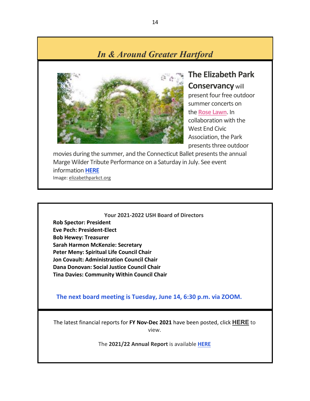# *In & Around Greater Hartford*



**The Elizabeth Park Conservancy** will present four free outdoor summer concerts on the **Rose Lawn**. In collaboration with the West End Civic Association, the Park presents three outdoor

movies during the summer, and the Connecticut Ballet presents the annual Marge Wilder Tribute Performance on a Saturday in July. See event information **HERE** Image: elizabethparkct.org

#### **Your 2021-2022 USH Board of Directors**

**Rob Spector: President Eve Pech: President-Elect Bob Hewey: Treasurer Sarah Harmon McKenzie: Secretary Peter Meny: Spiritual Life Council Chair Jon Covault: Administration Council Chair Dana Donovan: Social Justice Council Chair Tina Davies: Community Within Council Chair**

 **The next board meeting is Tuesday, June 14, 6:30 p.m. via ZOOM.**

The latest financial reports for **FY Nov-Dec 2021** have been posted, click **HERE** to view.

The **2021/22 Annual Report** is available **HERE**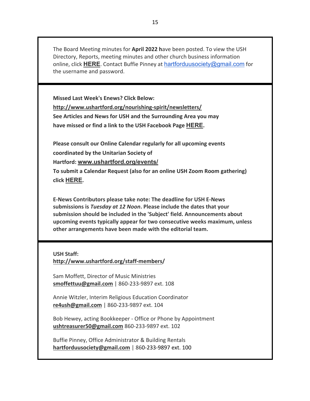The Board Meeting minutes for **April 2022 h**ave been posted. To view the USH Directory, Reports, meeting minutes and other church business information online, click **HERE**. Contact Buffie Pinney at hartforduusociety@gmail.com for the username and password.

**Missed Last Week's Enews? Click Below: http://www.ushartford.org/nourishing-spirit/newsletters/ See Articles and News for USH and the Surrounding Area you may have missed or find a link to the USH Facebook Page HERE.**

**Please consult our Online Calendar regularly for all upcoming events coordinated by the Unitarian Society of** 

**Hartford: www.ushartford.org/events/**

**To submit a Calendar Request (also for an online USH Zoom Room gathering) click HERE.**

**E-News Contributors please take note: The deadline for USH E-News submissions is** *Tuesday at 12 Noon***. Please include the dates that your submission should be included in the 'Subject' field. Announcements about upcoming events typically appear for two consecutive weeks maximum, unless other arrangements have been made with the editorial team.**

#### **USH Staff: http://www.ushartford.org/staff-members/**

Sam Moffett, Director of Music Ministries **smoffettuu@gmail.com** | 860-233-9897 ext. 108

Annie Witzler, Interim Religious Education Coordinator **re4ush@gmail.com** | 860-233-9897 ext. 104

Bob Hewey, acting Bookkeeper - Office or Phone by Appointment **ushtreasurer50@gmail.com** 860-233-9897 ext. 102

Buffie Pinney, Office Administrator & Building Rentals **hartforduusociety@gmail.com** | 860-233-9897 ext. 100